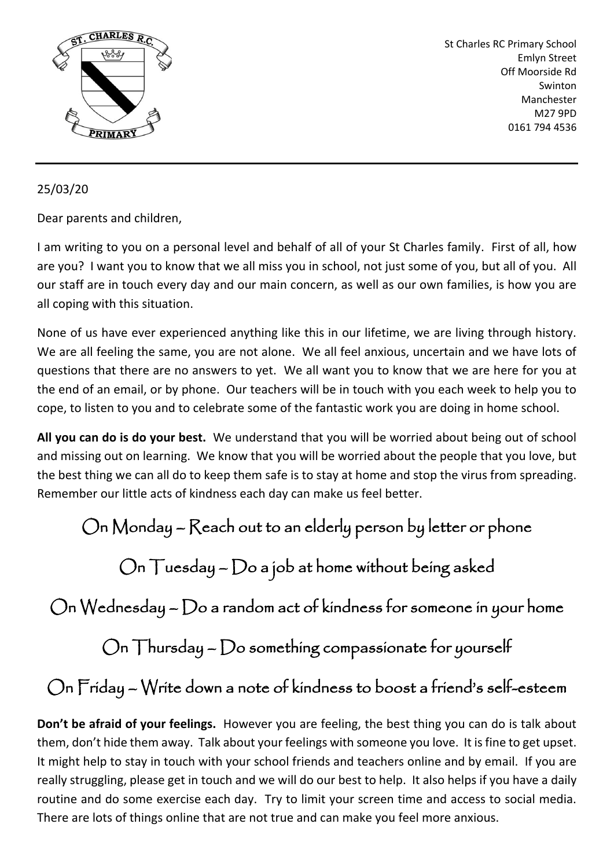

St Charles RC Primary School Emlyn Street Off Moorside Rd Swinton Manchester M27 9PD 0161 794 4536

## 25/03/20

Dear parents and children,

I am writing to you on a personal level and behalf of all of your St Charles family. First of all, how are you? I want you to know that we all miss you in school, not just some of you, but all of you. All our staff are in touch every day and our main concern, as well as our own families, is how you are all coping with this situation.

None of us have ever experienced anything like this in our lifetime, we are living through history. We are all feeling the same, you are not alone. We all feel anxious, uncertain and we have lots of questions that there are no answers to yet. We all want you to know that we are here for you at the end of an email, or by phone. Our teachers will be in touch with you each week to help you to cope, to listen to you and to celebrate some of the fantastic work you are doing in home school.

**All you can do is do your best.** We understand that you will be worried about being out of school and missing out on learning. We know that you will be worried about the people that you love, but the best thing we can all do to keep them safe is to stay at home and stop the virus from spreading. Remember our little acts of kindness each day can make us feel better.

On Monday – Reach out to an elderly person by letter or phone

On Tuesday – Do a job at home without being asked

On Wednesday – Do a random act of kindness for someone in your home

 $On$  Thursday  $\neg$  Do something compassionate for yourself

On Friday – Write down a note of kindness to boost a friend's self-esteem

**Don't be afraid of your feelings.** However you are feeling, the best thing you can do is talk about them, don't hide them away. Talk about your feelings with someone you love. It is fine to get upset. It might help to stay in touch with your school friends and teachers online and by email. If you are really struggling, please get in touch and we will do our best to help. It also helps if you have a daily routine and do some exercise each day. Try to limit your screen time and access to social media. There are lots of things online that are not true and can make you feel more anxious.